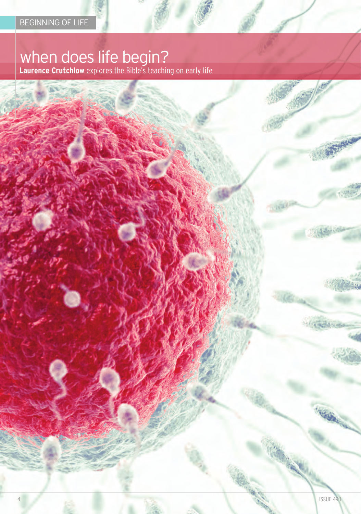# when does life begin?

**Laurence Crutchlow** explores the bible's teaching on early life

**Calledon** 

**Handers** 

四位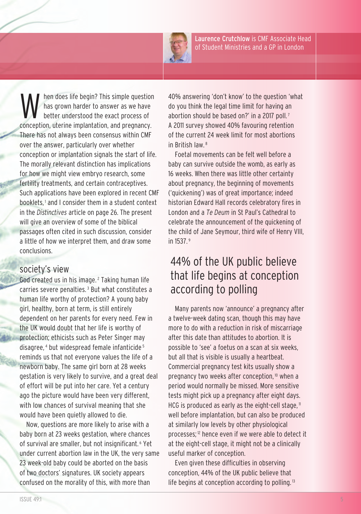

Laurence Crutchlow is cMF Associate Head of Student Ministries and a GP in London

hen does life begin? This simple question has grown harder to answer as we have better understood the exact process of conception, uterine implantation, and pregnancy. there has not always been consensus within cMF over the answer, particularly over whether conception or implantation signals the start of life. The morally relevant distinction has implications for how we might view embryo research, some fertility treatments, and certain contraceptives. Such applications have been explored in recent cMF booklets, <sup>1</sup> and I consider them in a student context in the *Distinctives* article on page 26. the present will give an overview of some of the biblical passages often cited in such discussion, consider a little of how we interpret them, and draw some conclusions.

#### society's view

God created us in his image. <sup>2</sup> Taking human life carries severe penalties. <sup>3</sup> but what constitutes a human life worthy of protection? A young baby girl, healthy, born at term, is still entirely dependent on her parents for every need. Few in the UK would doubt that her life is worthy of protection; ethicists such as Peter Singer may disagree, <sup>4</sup> but widespread female infanticide <sup>5</sup> reminds us that not everyone values the life of a newborn baby. The same girl born at 28 weeks gestation is very likely to survive, and a great deal of effort will be put into her care. Yet a century ago the picture would have been very different, with low chances of survival meaning that she would have been quietly allowed to die.

now, questions are more likely to arise with a baby born at 23 weeks gestation, where chances of survival are smaller, but not insignificant. <sup>6</sup> Yet under current abortion law in the UK, the very same 23 week-old baby could be aborted on the basis of two doctors' signatures. UK society appears confused on the morality of this, with more than

40% answering 'don't know' to the question 'what do you think the legal time limit for having an abortion should be based on?' in a 2017 poll.<sup>7</sup> A 2011 survey showed 40% favouring retention of the current 24 week limit for most abortions in British law  $8$ 

Foetal movements can be felt well before a baby can survive outside the womb, as early as 16 weeks. When there was little other certainty about pregnancy, the beginning of movements ('quickening') was of great importance; indeed historian Edward Hall records celebratory fires in london and a *Te Deum* in St Paul's cathedral to celebrate the announcement of the quickening of the child of Jane Seymour, third wife of Henry VIII, in 1537. <sup>9</sup>

# 44% of the UK public believe that life begins at conception according to polling

Many parents now 'announce' a pregnancy after a twelve-week dating scan, though this may have more to do with a reduction in risk of miscarriage after this date than attitudes to abortion. It is possible to 'see' a foetus on a scan at six weeks, but all that is visible is usually a heartbeat. commercial pregnancy test kits usually show a pregnancy two weeks after conception, <sup>10</sup> when a period would normally be missed. More sensitive tests might pick up a pregnancy after eight days. HCG is produced as early as the eight-cell stage, $<sup>11</sup>$ </sup> well before implantation, but can also be produced at similarly low levels by other physiological processes; <sup>12</sup> hence even if we were able to detect it at the eight-cell stage, it might not be a clinically useful marker of conception.

Even given these difficulties in observing conception, 44% of the UK public believe that life begins at conception according to polling.<sup>13</sup>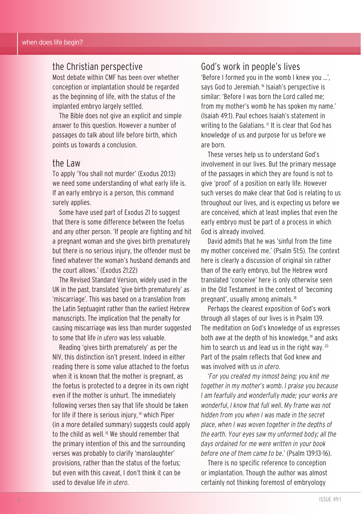## the christian perspective

Most debate within cMF has been over whether conception or implantation should be regarded as the beginning of life, with the status of the implanted embryo largely settled.

The Bible does not give an explicit and simple answer to this question. However a number of passages do talk about life before birth, which points us towards a conclusion.

#### the law

to apply 'You shall not murder' (Exodus 20:13) we need some understanding of what early life is. If an early embryo is a person, this command surely applies.

Some have used part of Exodus 21 to suggest that there is some difference between the foetus and any other person. 'If people are fighting and hit a pregnant woman and she gives birth prematurely but there is no serious injury, the offender must be fined whatever the woman's husband demands and the court allows.' (Exodus 21:22)

The Revised Standard Version, widely used in the UK in the past, translated 'give birth prematurely' as 'miscarriage'. This was based on a translation from the latin Septuagint rather than the earliest Hebrew manuscripts. The implication that the penalty for causing miscarriage was less than murder suggested to some that life *in utero* was less valuable.

Reading 'gives birth prematurely' as per the nIV, this distinction isn't present. Indeed in either reading there is some value attached to the foetus when it is known that the mother is pregnant, as the foetus is protected to a degree in its own right even if the mother is unhurt. The immediately following verses then say that life should be taken for life if there is serious injury, <sup>14</sup> which Piper (in a more detailed summary) suggests could apply to the child as well. <sup>15</sup> We should remember that the primary intention of this and the surrounding verses was probably to clarify 'manslaughter' provisions, rather than the status of the foetus; but even with this caveat, I don't think it can be used to devalue life *in utero*.

## god's work in people's lives

'before I formed you in the womb I knew you …', says God to Jeremiah.<sup>16</sup> Isaiah's perspective is similar: 'Before I was born the Lord called me; from my mother's womb he has spoken my name.' (Isaiah 49:1). Paul echoes Isaiah's statement in writing to the Galatians.<sup>17</sup> It is clear that God has knowledge of us and purpose for us before we are born.

These verses help us to understand God's involvement in our lives. but the primary message of the passages in which they are found is not to give 'proof' of a position on early life. However such verses do make clear that God is relating to us throughout our lives, and is expecting us before we are conceived, which at least implies that even the early embryo must be part of a process in which god is already involved.

David admits that he was 'sinful from the time my mother conceived me.' (Psalm 51:5). The context here is clearly a discussion of original sin rather than of the early embryo, but the Hebrew word translated 'conceive' here is only otherwise seen in the Old Testament in the context of 'becoming pregnant', usually among animals. <sup>18</sup>

Perhaps the clearest exposition of God's work through all stages of our lives is in Psalm 139. The meditation on God's knowledge of us expresses both awe at the depth of his knowledge, <sup>19</sup> and asks him to search us and lead us in the right way.<sup>20</sup> Part of the psalm reflects that God knew and was involved with us *in utero*.

'*For you created my inmost being; you knit me together in my mother's womb. I praise you because I am fearfully and wonderfully made; your works are wonderful, I know that full well. My frame was not hidden from you when I was made in the secret place, when I was woven together in the depths of the earth. Your eyes saw my unformed body; all the days ordained for me were written in your book before one of them came to be.*' (Psalm 139:13-16).

there is no specific reference to conception or implantation. Though the author was almost certainly not thinking foremost of embryology